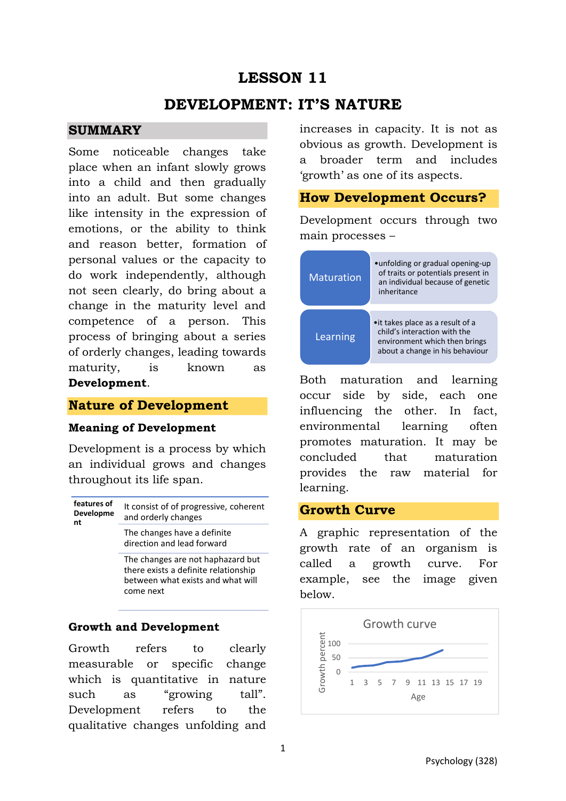# **LESSON 11**

## **DEVELOPMENT: IT'S NATURE**

#### **SUMMARY**

Some noticeable changes take place when an infant slowly grows into a child and then gradually into an adult. But some changes like intensity in the expression of emotions, or the ability to think and reason better, formation of personal values or the capacity to do work independently, although not seen clearly, do bring about a change in the maturity level and competence of a person. This process of bringing about a series of orderly changes, leading towards maturity, is known as **Development**.

### **Nature of Development**

#### **Meaning of Development**

Development is a process by which an individual grows and changes throughout its life span.

| features of<br>Developme<br>nt | It consist of of progressive, coherent<br>and orderly changes |
|--------------------------------|---------------------------------------------------------------|
|                                | The changes have a definite<br>direction and lead forward     |

The changes are not haphazard but there exists a definite relationship between what exists and what will come next

### **Growth and Development**

Growth refers to clearly measurable or specific change which is quantitative in nature such as "growing tall". Development refers to the qualitative changes unfolding and increases in capacity. It is not as obvious as growth. Development is a broader term and includes 'growth' as one of its aspects.

#### **How Development Occurs?**

Development occurs through two main processes –



Both maturation and learning occur side by side, each one influencing the other. In fact, environmental learning often promotes maturation. It may be concluded that maturation provides the raw material for learning.

### **Growth Curve**

A graphic representation of the growth rate of an organism is called a growth curve. For example, see the image given below.

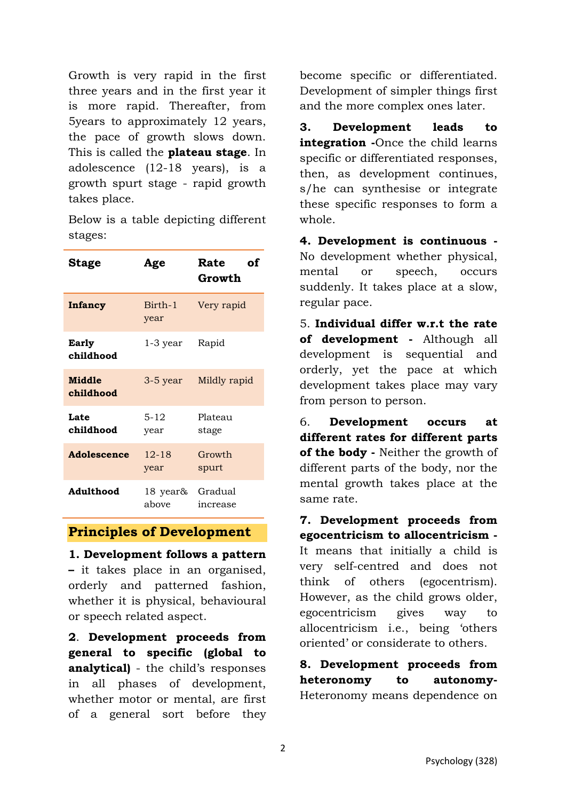Growth is very rapid in the first three years and in the first year it is more rapid. Thereafter, from 5years to approximately 12 years, the pace of growth slows down. This is called the **plateau stage**. In adolescence (12-18 years), is a growth spurt stage - rapid growth takes place.

Below is a table depicting different stages:

| <b>Stage</b>        | Age               | оf<br>Rate<br>Growth |
|---------------------|-------------------|----------------------|
| Infancy             | Birth-1<br>year   | Very rapid           |
| Early<br>childhood  | $1-3$ year        | Rapid                |
| Middle<br>childhood | $3-5$ year        | Mildly rapid         |
| Late<br>childhood   | $5 - 12$<br>year  | Plateau<br>stage     |
| Adolescence         | $12 - 18$<br>year | Growth<br>spurt      |
| Adulthood           | 18 year&<br>above | Gradual<br>increase  |

#### **Principles of Development**

**1. Development follows a pattern –** it takes place in an organised, orderly and patterned fashion, whether it is physical, behavioural or speech related aspect.

**2**. **Development proceeds from general to specific (global to analytical)** - the child's responses in all phases of development, whether motor or mental, are first of a general sort before they become specific or differentiated. Development of simpler things first and the more complex ones later.

**3. Development leads to integration -**Once the child learns specific or differentiated responses, then, as development continues, s/he can synthesise or integrate these specific responses to form a whole.

**4. Development is continuous -**  No development whether physical, mental or speech, occurs suddenly. It takes place at a slow, regular pace.

5. **Individual differ w.r.t the rate of development -** Although all development is sequential and orderly, yet the pace at which development takes place may vary from person to person.

6. **Development occurs at different rates for different parts of the body -** Neither the growth of different parts of the body, nor the mental growth takes place at the same rate.

**7. Development proceeds from egocentricism to allocentricism -**  It means that initially a child is very self-centred and does not think of others (egocentrism). However, as the child grows older, egocentricism gives way to allocentricism i.e., being 'others oriented' or considerate to others.

**8. Development proceeds from heteronomy to autonomy-**Heteronomy means dependence on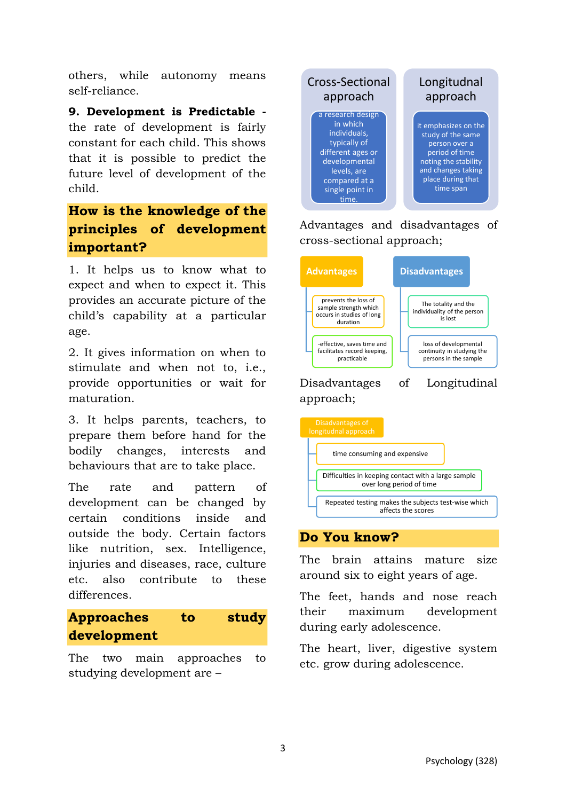others, while autonomy means self-reliance.

**9. Development is Predictable**  the rate of development is fairly constant for each child. This shows that it is possible to predict the future level of development of the child.

# **How is the knowledge of the principles of development important?**

1. It helps us to know what to expect and when to expect it. This provides an accurate picture of the child's capability at a particular age.

2. It gives information on when to stimulate and when not to, i.e., provide opportunities or wait for maturation.

3. It helps parents, teachers, to prepare them before hand for the bodily changes, interests and behaviours that are to take place.

The rate and pattern of development can be changed by certain conditions inside and outside the body. Certain factors like nutrition, sex. Intelligence, injuries and diseases, race, culture etc. also contribute to these differences.

# **Approaches to study development**

The two main approaches to studying development are –



Advantages and disadvantages of cross-sectional approach;





### **Do You know?**

The brain attains mature size around six to eight years of age.

The feet, hands and nose reach their maximum development during early adolescence.

The heart, liver, digestive system etc. grow during adolescence.